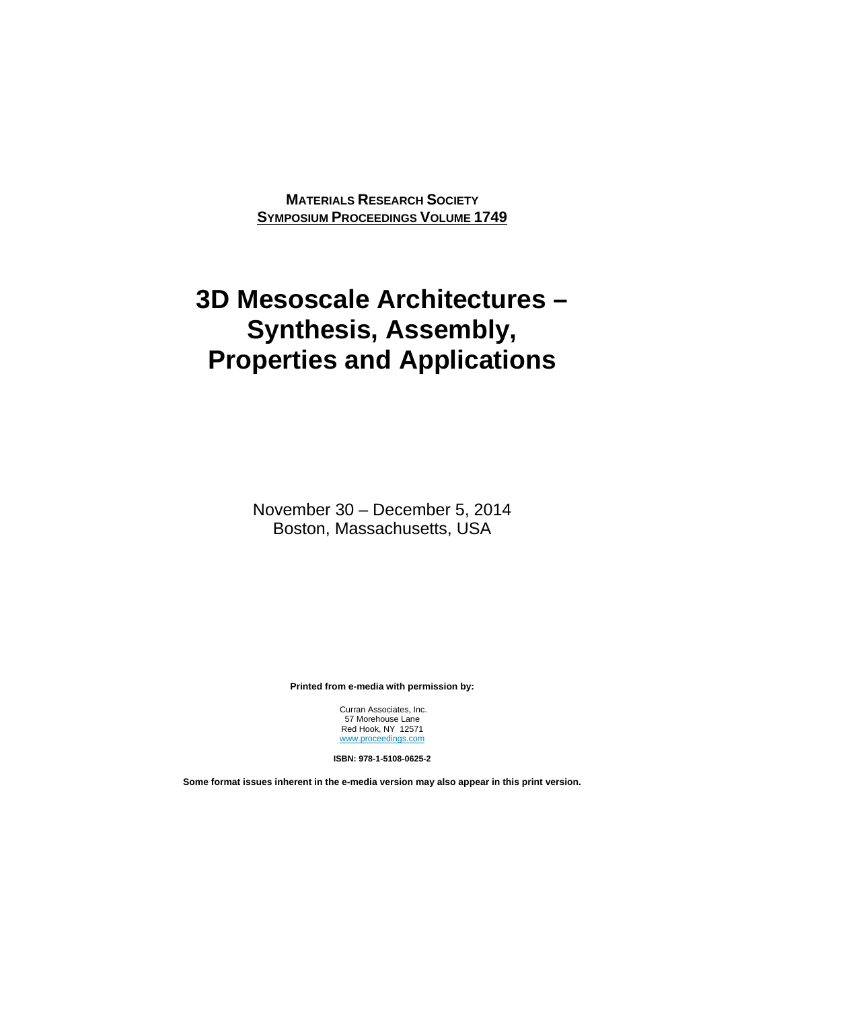**MATERIALS RESEARCH SOCIETY SYMPOSIUM PROCEEDINGS VOLUME 1749**

## **3D Mesoscale Architectures – Synthesis, Assembly, Properties and Applications**

November 30 – December 5, 2014 Boston, Massachusetts, USA

**Printed from e-media with permission by:** 

 Curran Associates, Inc. 57 Morehouse Lane Red Hook, NY 12571 www.proceedings.com

**ISBN: 978-1-5108-0625-2** 

**Some format issues inherent in the e-media version may also appear in this print version.**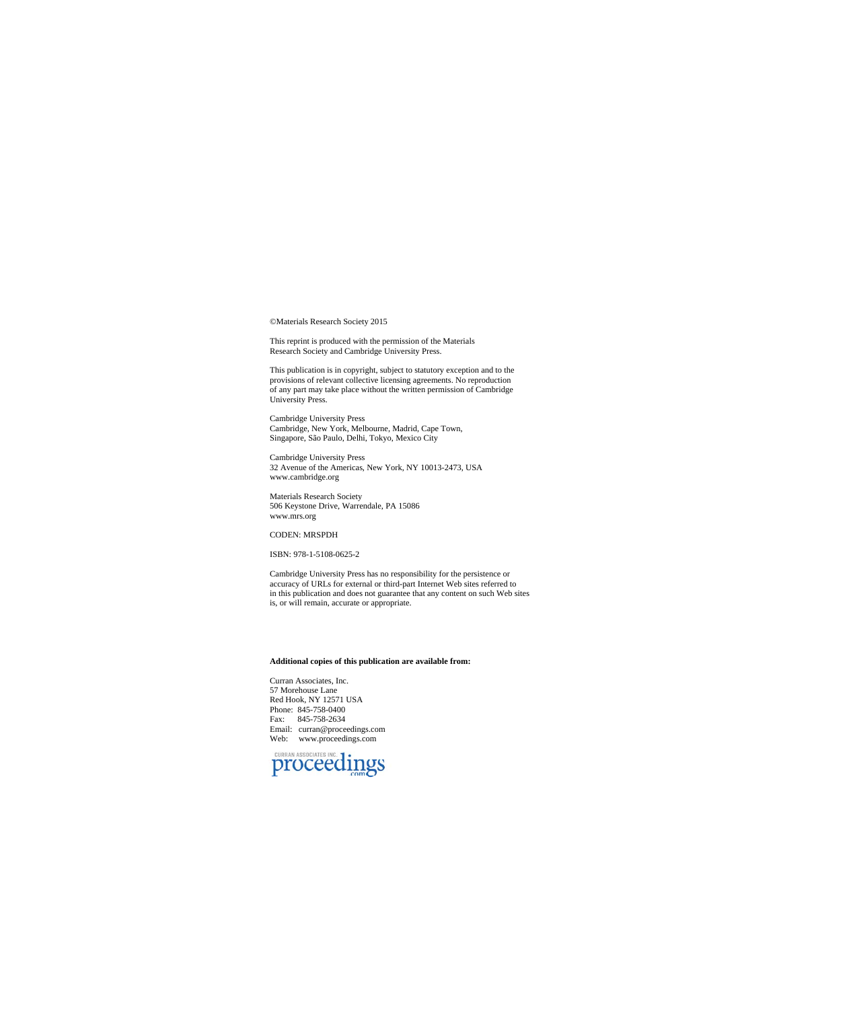©Materials Research Society 2015

This reprint is produced with the permission of the Materials Research Society and Cambridge University Press.

This publication is in copyright, subject to statutory exception and to the provisions of relevant collective licensing agreements. No reproduction of any part may take place without the written permission of Cambridge Uni

Cambridge University Press Cambridge, New York, Melbourne, Madrid, Cape Town, Singapore, São Paulo, Delhi, Tokyo, Mexico City

Cambridge University Press 32 Avenue of the Americas, New York, NY 10013-2473, USA www.cambridge.org

Materials Research Society 506 Keystone Drive, Warrendale, PA 15086 www.mrs.org

## CODEN: MRSPDH

ISBN: 978-1-5108-0625-2

Cambridge University Press has no responsibility for the persistence or accuracy of URLs for external or third-part Internet Web sites referred to in this publication and does not guarantee that any content on such Web sites is, or will remain, accurate or appropriate.

## **Additional copies of this publication are available from:**

Curran Associates, Inc. 57 Morehouse Lane Red Hook, NY 12571 USA Phone: 845-758-0400 Fax: 845-758-2634 Email: curran@proceedings.com Web: www.proceedings.com